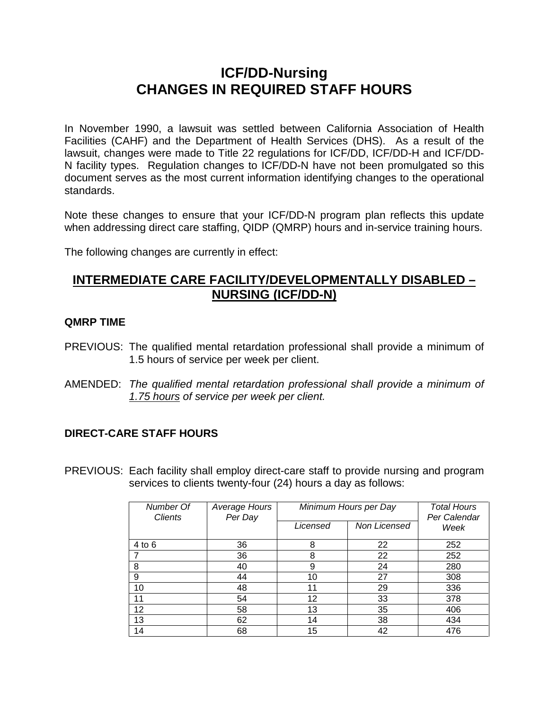# **ICF/DD-Nursing CHANGES IN REQUIRED STAFF HOURS**

In November 1990, a lawsuit was settled between California Association of Health Facilities (CAHF) and the Department of Health Services (DHS). As a result of the lawsuit, changes were made to Title 22 regulations for ICF/DD, ICF/DD-H and ICF/DD-N facility types. Regulation changes to ICF/DD-N have not been promulgated so this document serves as the most current information identifying changes to the operational standards.

Note these changes to ensure that your ICF/DD-N program plan reflects this update when addressing direct care staffing, QIDP (QMRP) hours and in-service training hours.

The following changes are currently in effect:

## **INTERMEDIATE CARE FACILITY/DEVELOPMENTALLY DISABLED – NURSING (ICF/DD-N)**

#### **QMRP TIME**

- PREVIOUS: The qualified mental retardation professional shall provide a minimum of 1.5 hours of service per week per client.
- AMENDED: *The qualified mental retardation professional shall provide a minimum of 1.75 hours of service per week per client.*

### **DIRECT-CARE STAFF HOURS**

PREVIOUS: Each facility shall employ direct-care staff to provide nursing and program services to clients twenty-four (24) hours a day as follows:

| Number Of<br><b>Clients</b> | Average Hours<br>Per Day | Minimum Hours per Day |              | <b>Total Hours</b><br>Per Calendar |
|-----------------------------|--------------------------|-----------------------|--------------|------------------------------------|
|                             |                          | Licensed              | Non Licensed | Week                               |
| $4$ to $6$                  | 36                       | 8                     | 22           | 252                                |
|                             | 36                       | 8                     | 22           | 252                                |
| 8                           | 40                       | 9                     | 24           | 280                                |
| 9                           | 44                       | 10                    | 27           | 308                                |
| 10                          | 48                       | 11                    | 29           | 336                                |
| 11                          | 54                       | 12                    | 33           | 378                                |
| 12                          | 58                       | 13                    | 35           | 406                                |
| 13                          | 62                       | 14                    | 38           | 434                                |
| 14                          | 68                       | 15                    | 42           | 476                                |